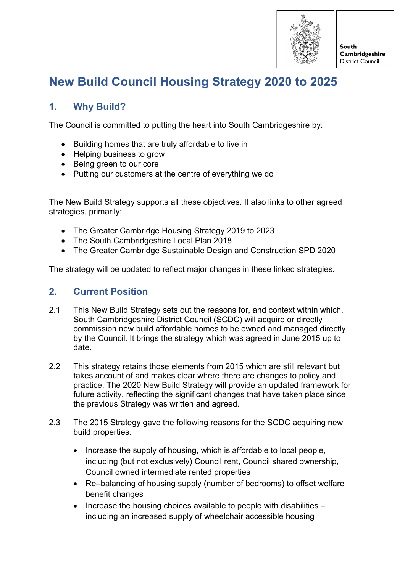

South Cambridgeshire **District Council** 

# **New Build Council Housing Strategy 2020 to 2025**

# **1. Why Build?**

The Council is committed to putting the heart into South Cambridgeshire by:

- Building homes that are truly affordable to live in
- Helping business to grow
- Being green to our core
- Putting our customers at the centre of everything we do

The New Build Strategy supports all these objectives. It also links to other agreed strategies, primarily:

- The Greater Cambridge Housing Strategy 2019 to 2023
- The South Cambridgeshire Local Plan 2018
- The Greater Cambridge Sustainable Design and Construction SPD 2020

The strategy will be updated to reflect major changes in these linked strategies.

# **2. Current Position**

- 2.1 This New Build Strategy sets out the reasons for, and context within which, South Cambridgeshire District Council (SCDC) will acquire or directly commission new build affordable homes to be owned and managed directly by the Council. It brings the strategy which was agreed in June 2015 up to date.
- 2.2 This strategy retains those elements from 2015 which are still relevant but takes account of and makes clear where there are changes to policy and practice. The 2020 New Build Strategy will provide an updated framework for future activity, reflecting the significant changes that have taken place since the previous Strategy was written and agreed.
- 2.3 The 2015 Strategy gave the following reasons for the SCDC acquiring new build properties.
	- Increase the supply of housing, which is affordable to local people, including (but not exclusively) Council rent, Council shared ownership, Council owned intermediate rented properties
	- Re–balancing of housing supply (number of bedrooms) to offset welfare benefit changes
	- Increase the housing choices available to people with disabilities including an increased supply of wheelchair accessible housing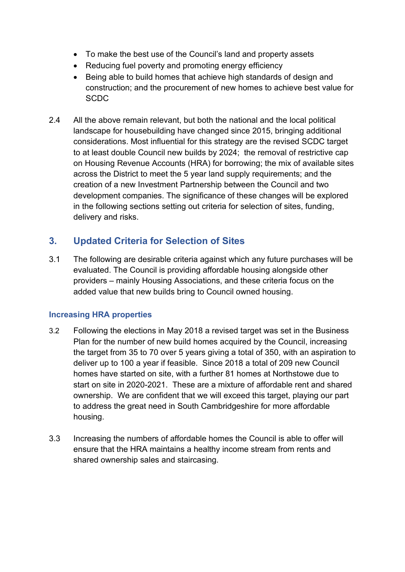- To make the best use of the Council's land and property assets
- Reducing fuel poverty and promoting energy efficiency
- Being able to build homes that achieve high standards of design and construction; and the procurement of new homes to achieve best value for **SCDC**
- 2.4 All the above remain relevant, but both the national and the local political landscape for housebuilding have changed since 2015, bringing additional considerations. Most influential for this strategy are the revised SCDC target to at least double Council new builds by 2024; the removal of restrictive cap on Housing Revenue Accounts (HRA) for borrowing; the mix of available sites across the District to meet the 5 year land supply requirements; and the creation of a new Investment Partnership between the Council and two development companies. The significance of these changes will be explored in the following sections setting out criteria for selection of sites, funding, delivery and risks.

# **3. Updated Criteria for Selection of Sites**

3.1 The following are desirable criteria against which any future purchases will be evaluated. The Council is providing affordable housing alongside other providers – mainly Housing Associations, and these criteria focus on the added value that new builds bring to Council owned housing.

# **Increasing HRA properties**

- 3.2 Following the elections in May 2018 a revised target was set in the Business Plan for the number of new build homes acquired by the Council, increasing the target from 35 to 70 over 5 years giving a total of 350, with an aspiration to deliver up to 100 a year if feasible. Since 2018 a total of 209 new Council homes have started on site, with a further 81 homes at Northstowe due to start on site in 2020-2021. These are a mixture of affordable rent and shared ownership. We are confident that we will exceed this target, playing our part to address the great need in South Cambridgeshire for more affordable housing.
- 3.3 Increasing the numbers of affordable homes the Council is able to offer will ensure that the HRA maintains a healthy income stream from rents and shared ownership sales and staircasing.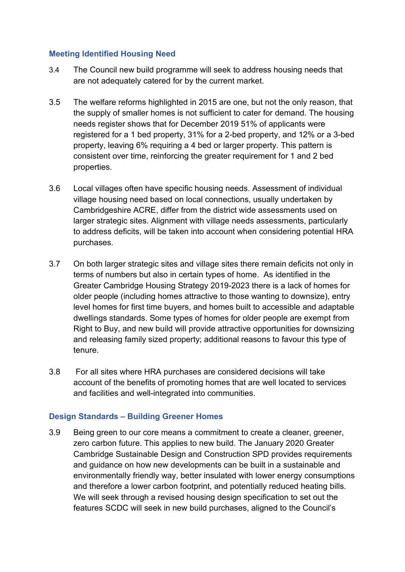### **Meeting Identified Housing Need**

- 3.4 The Council new build programme will seek to address housing needs that are not adequately catered for by the current market.
- 3.5 The welfare reforms highlighted in 2015 are one, but not the only reason, that the supply of smaller homes is not sufficient to cater for demand. The housing needs register shows that for December 2019 51% of applicants were registered for a 1 bed property, 31% for a 2-bed property, and 12% or a 3-bed property, leaving 6% requiring a 4 bed or larger property. This pattern is consistent over time, reinforcing the greater requirement for 1 and 2 bed properties.
- 3.6 Local villages often have specific housing needs. Assessment of individual village housing need based on local connections, usually undertaken by Cambridgeshire ACRE, differ from the district wide assessments used on larger strategic sites. Alignment with village needs assessments, particularly to address deficits, will be taken into account when considering potential HRA purchases.
- 3.7 On both larger strategic sites and village sites there remain deficits not only in terms of numbers but also in certain types of home. As identified in the Greater Cambridge Housing Strategy 2019-2023 there is a lack of homes for older people (including homes attractive to those wanting to downsize), entry level homes for first time buyers, and homes built to accessible and adaptable dwellings standards. Some types of homes for older people are exempt from Right to Buy, and new build will provide attractive opportunities for downsizing and releasing family sized property; additional reasons to favour this type of tenure.
- 3.8 For all sites where HRA purchases are considered decisions will take account of the benefits of promoting homes that are well located to services and facilities and well-integrated into communities.

### **Design Standards – Building Greener Homes**

3.9 Being green to our core means a commitment to create a cleaner, greener, zero carbon future. This applies to new build. The January 2020 Greater Cambridge Sustainable Design and Construction SPD provides requirements and guidance on how new developments can be built in a sustainable and environmentally friendly way, better insulated with lower energy consumptions and therefore a lower carbon footprint, and potentially reduced heating bills. We will seek through a revised housing design specification to set out the features SCDC will seek in new build purchases, aligned to the Council's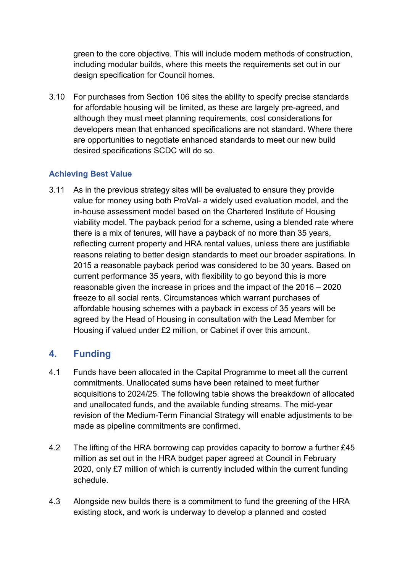green to the core objective. This will include modern methods of construction, including modular builds, where this meets the requirements set out in our design specification for Council homes.

3.10 For purchases from Section 106 sites the ability to specify precise standards for affordable housing will be limited, as these are largely pre-agreed, and although they must meet planning requirements, cost considerations for developers mean that enhanced specifications are not standard. Where there are opportunities to negotiate enhanced standards to meet our new build desired specifications SCDC will do so.

## **Achieving Best Value**

3.11 As in the previous strategy sites will be evaluated to ensure they provide value for money using both ProVal- a widely used evaluation model, and the in-house assessment model based on the Chartered Institute of Housing viability model. The payback period for a scheme, using a blended rate where there is a mix of tenures, will have a payback of no more than 35 years, reflecting current property and HRA rental values, unless there are justifiable reasons relating to better design standards to meet our broader aspirations. In 2015 a reasonable payback period was considered to be 30 years. Based on current performance 35 years, with flexibility to go beyond this is more reasonable given the increase in prices and the impact of the 2016 – 2020 freeze to all social rents. Circumstances which warrant purchases of affordable housing schemes with a payback in excess of 35 years will be agreed by the Head of Housing in consultation with the Lead Member for Housing if valued under £2 million, or Cabinet if over this amount.

# **4. Funding**

- 4.1 Funds have been allocated in the Capital Programme to meet all the current commitments. Unallocated sums have been retained to meet further acquisitions to 2024/25. The following table shows the breakdown of allocated and unallocated funds, and the available funding streams. The mid-year revision of the Medium-Term Financial Strategy will enable adjustments to be made as pipeline commitments are confirmed.
- 4.2 The lifting of the HRA borrowing cap provides capacity to borrow a further £45 million as set out in the HRA budget paper agreed at Council in February 2020, only £7 million of which is currently included within the current funding schedule.
- 4.3 Alongside new builds there is a commitment to fund the greening of the HRA existing stock, and work is underway to develop a planned and costed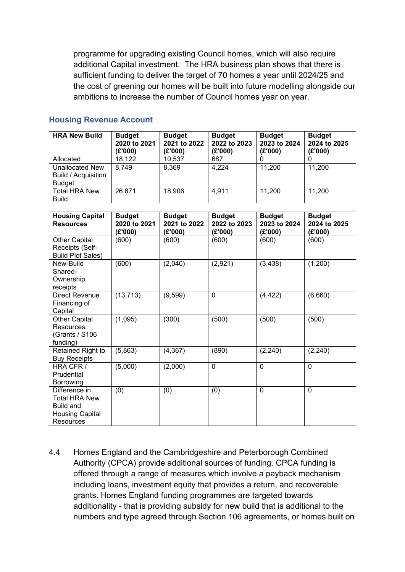programme for upgrading existing Council homes, which will also require additional Capital investment. The HRA business plan shows that there is sufficient funding to deliver the target of 70 homes a year until 2024/25 and the cost of greening our homes will be built into future modelling alongside our ambitions to increase the number of Council homes year on year.

| <b>HRA New Build</b>                                                  | <b>Budget</b><br>2020 to 2021<br>(£'000) | <b>Budget</b><br>2021 to 2022<br>(£'000) | <b>Budget</b><br>2022 to 2023<br>(E'000) | <b>Budget</b><br>2023 to 2024<br>(E'000) | <b>Budget</b><br>2024 to 2025<br>(E'000) |
|-----------------------------------------------------------------------|------------------------------------------|------------------------------------------|------------------------------------------|------------------------------------------|------------------------------------------|
| Allocated                                                             | 18,122                                   | 10,537                                   | 687                                      |                                          |                                          |
| <b>Unallocated New</b><br><b>Build / Acquisition</b><br><b>Budget</b> | 8,749                                    | 8,369                                    | 4,224                                    | 11,200                                   | 11,200                                   |
| <b>Total HRA New</b><br><b>Build</b>                                  | 26,871                                   | 18,906                                   | 4,911                                    | 11,200                                   | 11,200                                   |

#### **Housing Revenue Account**

| <b>Housing Capital</b><br><b>Resources</b>                                                | <b>Budget</b><br>2020 to 2021<br>(£'000) | <b>Budget</b><br>2021 to 2022<br>(E'000) | <b>Budget</b><br>2022 to 2023<br>(E'000) | <b>Budget</b><br>2023 to 2024<br>(E'000) | <b>Budget</b><br>2024 to 2025<br>(E'000) |
|-------------------------------------------------------------------------------------------|------------------------------------------|------------------------------------------|------------------------------------------|------------------------------------------|------------------------------------------|
| <b>Other Capital</b><br>Receipts (Self-<br><b>Build Plot Sales)</b>                       | (600)                                    | (600)                                    | (600)                                    | (600)                                    | (600)                                    |
| New-Build<br>Shared-<br>Ownership<br>receipts                                             | (600)                                    | (2,040)                                  | (2,921)                                  | (3, 438)                                 | (1,200)                                  |
| Direct Revenue<br>Financing of<br>Capital                                                 | (13, 713)                                | (9, 599)                                 | $\mathbf 0$                              | (4, 422)                                 | (6,660)                                  |
| <b>Other Capital</b><br>Resources<br>(Grants / S106<br>funding)                           | (1,095)                                  | (300)                                    | (500)                                    | (500)                                    | (500)                                    |
| Retained Right to<br><b>Buy Receipts</b>                                                  | (5,863)                                  | (4, 367)                                 | (890)                                    | (2, 240)                                 | (2, 240)                                 |
| HRA CFR /<br>Prudential<br>Borrowing                                                      | (5,000)                                  | (2,000)                                  | $\mathbf 0$                              | $\mathbf 0$                              | $\mathbf 0$                              |
| Difference in<br><b>Total HRA New</b><br>Build and<br><b>Housing Capital</b><br>Resources | (0)                                      | (0)                                      | (0)                                      | 0                                        | $\mathbf 0$                              |

4.4 Homes England and the Cambridgeshire and Peterborough Combined Authority (CPCA) provide additional sources of funding. CPCA funding is offered through a range of measures which involve a payback mechanism including loans, investment equity that provides a return, and recoverable grants. Homes England funding programmes are targeted towards additionality - that is providing subsidy for new build that is additional to the numbers and type agreed through Section 106 agreements, or homes built on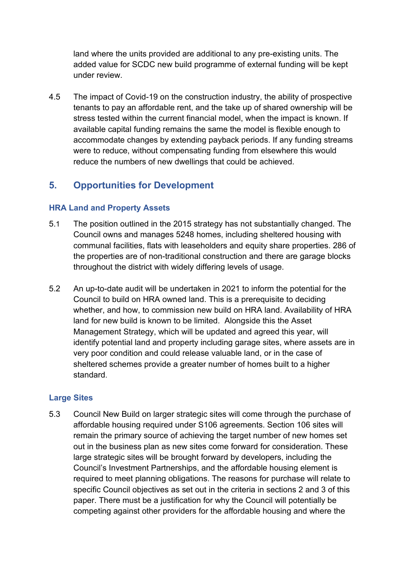land where the units provided are additional to any pre-existing units. The added value for SCDC new build programme of external funding will be kept under review.

4.5 The impact of Covid-19 on the construction industry, the ability of prospective tenants to pay an affordable rent, and the take up of shared ownership will be stress tested within the current financial model, when the impact is known. If available capital funding remains the same the model is flexible enough to accommodate changes by extending payback periods. If any funding streams were to reduce, without compensating funding from elsewhere this would reduce the numbers of new dwellings that could be achieved.

# **5. Opportunities for Development**

### **HRA Land and Property Assets**

- 5.1 The position outlined in the 2015 strategy has not substantially changed. The Council owns and manages 5248 homes, including sheltered housing with communal facilities, flats with leaseholders and equity share properties. 286 of the properties are of non-traditional construction and there are garage blocks throughout the district with widely differing levels of usage.
- 5.2 An up-to-date audit will be undertaken in 2021 to inform the potential for the Council to build on HRA owned land. This is a prerequisite to deciding whether, and how, to commission new build on HRA land. Availability of HRA land for new build is known to be limited. Alongside this the Asset Management Strategy, which will be updated and agreed this year, will identify potential land and property including garage sites, where assets are in very poor condition and could release valuable land, or in the case of sheltered schemes provide a greater number of homes built to a higher standard.

#### **Large Sites**

5.3 Council New Build on larger strategic sites will come through the purchase of affordable housing required under S106 agreements. Section 106 sites will remain the primary source of achieving the target number of new homes set out in the business plan as new sites come forward for consideration. These large strategic sites will be brought forward by developers, including the Council's Investment Partnerships, and the affordable housing element is required to meet planning obligations. The reasons for purchase will relate to specific Council objectives as set out in the criteria in sections 2 and 3 of this paper. There must be a justification for why the Council will potentially be competing against other providers for the affordable housing and where the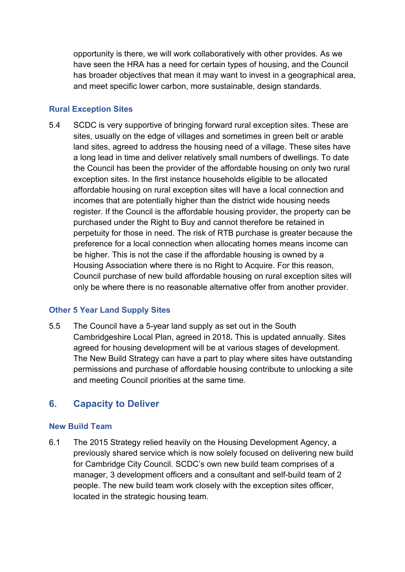opportunity is there, we will work collaboratively with other provides. As we have seen the HRA has a need for certain types of housing, and the Council has broader objectives that mean it may want to invest in a geographical area, and meet specific lower carbon, more sustainable, design standards.

### **Rural Exception Sites**

5.4 SCDC is very supportive of bringing forward rural exception sites. These are sites, usually on the edge of villages and sometimes in green belt or arable land sites, agreed to address the housing need of a village. These sites have a long lead in time and deliver relatively small numbers of dwellings. To date the Council has been the provider of the affordable housing on only two rural exception sites. In the first instance households eligible to be allocated affordable housing on rural exception sites will have a local connection and incomes that are potentially higher than the district wide housing needs register. If the Council is the affordable housing provider, the property can be purchased under the Right to Buy and cannot therefore be retained in perpetuity for those in need. The risk of RTB purchase is greater because the preference for a local connection when allocating homes means income can be higher. This is not the case if the affordable housing is owned by a Housing Association where there is no Right to Acquire. For this reason, Council purchase of new build affordable housing on rural exception sites will only be where there is no reasonable alternative offer from another provider.

### **Other 5 Year Land Supply Sites**

5.5 The Council have a 5-year land supply as set out in the South Cambridgeshire Local Plan, agreed in 2018**.** This is updated annually. Sites agreed for housing development will be at various stages of development. The New Build Strategy can have a part to play where sites have outstanding permissions and purchase of affordable housing contribute to unlocking a site and meeting Council priorities at the same time.

# **6. Capacity to Deliver**

### **New Build Team**

6.1 The 2015 Strategy relied heavily on the Housing Development Agency, a previously shared service which is now solely focused on delivering new build for Cambridge City Council. SCDC's own new build team comprises of a manager, 3 development officers and a consultant and self-build team of 2 people. The new build team work closely with the exception sites officer, located in the strategic housing team.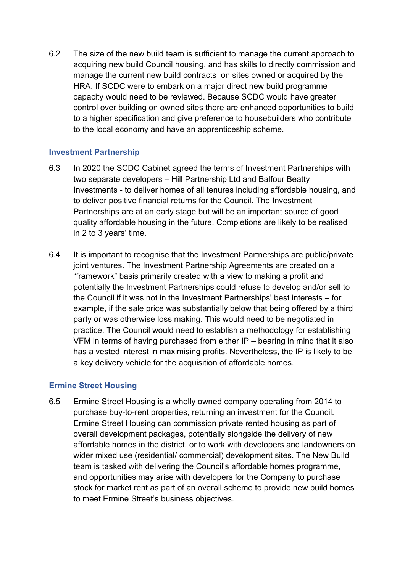6.2 The size of the new build team is sufficient to manage the current approach to acquiring new build Council housing, and has skills to directly commission and manage the current new build contracts on sites owned or acquired by the HRA. If SCDC were to embark on a major direct new build programme capacity would need to be reviewed. Because SCDC would have greater control over building on owned sites there are enhanced opportunities to build to a higher specification and give preference to housebuilders who contribute to the local economy and have an apprenticeship scheme.

#### **Investment Partnership**

- 6.3 In 2020 the SCDC Cabinet agreed the terms of Investment Partnerships with two separate developers – Hill Partnership Ltd and Balfour Beatty Investments - to deliver homes of all tenures including affordable housing, and to deliver positive financial returns for the Council. The Investment Partnerships are at an early stage but will be an important source of good quality affordable housing in the future. Completions are likely to be realised in 2 to 3 years' time.
- 6.4 It is important to recognise that the Investment Partnerships are public/private joint ventures. The Investment Partnership Agreements are created on a "framework" basis primarily created with a view to making a profit and potentially the Investment Partnerships could refuse to develop and/or sell to the Council if it was not in the Investment Partnerships' best interests – for example, if the sale price was substantially below that being offered by a third party or was otherwise loss making. This would need to be negotiated in practice. The Council would need to establish a methodology for establishing VFM in terms of having purchased from either IP – bearing in mind that it also has a vested interest in maximising profits. Nevertheless, the IP is likely to be a key delivery vehicle for the acquisition of affordable homes.

### **Ermine Street Housing**

6.5 Ermine Street Housing is a wholly owned company operating from 2014 to purchase buy-to-rent properties, returning an investment for the Council. Ermine Street Housing can commission private rented housing as part of overall development packages, potentially alongside the delivery of new affordable homes in the district, or to work with developers and landowners on wider mixed use (residential/ commercial) development sites. The New Build team is tasked with delivering the Council's affordable homes programme, and opportunities may arise with developers for the Company to purchase stock for market rent as part of an overall scheme to provide new build homes to meet Ermine Street's business objectives.